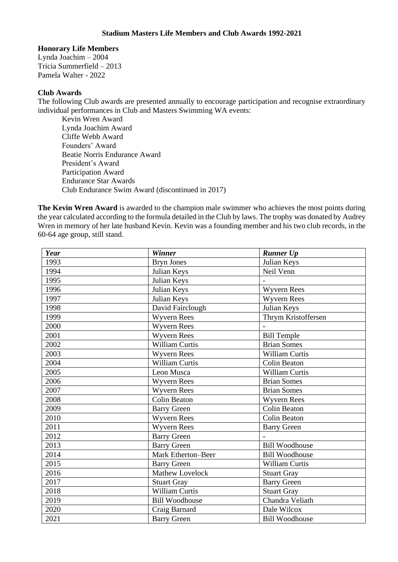## **Stadium Masters Life Members and Club Awards 1992-2021**

## **Honorary Life Members**

Lynda Joachim – 2004 Tricia Summerfield – 2013 Pamela Walter - 2022

## **Club Awards**

The following Club awards are presented annually to encourage participation and recognise extraordinary individual performances in Club and Masters Swimming WA events:

Kevin Wren Award Lynda Joachim Award Cliffe Webb Award Founders' Award Beatie Norris Endurance Award President's Award Participation Award Endurance Star Awards Club Endurance Swim Award (discontinued in 2017)

**The Kevin Wren Award** is awarded to the champion male swimmer who achieves the most points during the year calculated according to the formula detailed in the Club by laws. The trophy was donated by Audrey Wren in memory of her late husband Kevin. Kevin was a founding member and his two club records, in the 60-64 age group, still stand.

| Year | <b>Winner</b>          | <b>Runner Up</b>      |
|------|------------------------|-----------------------|
| 1993 | <b>Bryn Jones</b>      | Julian Keys           |
| 1994 | Julian Keys            | Neil Venn             |
| 1995 | Julian Keys            |                       |
| 1996 | Julian Keys            | <b>Wyvern Rees</b>    |
| 1997 | Julian Keys            | <b>Wyvern Rees</b>    |
| 1998 | David Fairclough       | Julian Keys           |
| 1999 | <b>Wyvern Rees</b>     | Thrym Kristoffersen   |
| 2000 | <b>Wyvern Rees</b>     |                       |
| 2001 | <b>Wyvern Rees</b>     | <b>Bill Temple</b>    |
| 2002 | <b>William Curtis</b>  | <b>Brian Somes</b>    |
| 2003 | <b>Wyvern Rees</b>     | William Curtis        |
| 2004 | <b>William Curtis</b>  | <b>Colin Beaton</b>   |
| 2005 | Leon Musca             | <b>William Curtis</b> |
| 2006 | <b>Wyvern Rees</b>     | <b>Brian Somes</b>    |
| 2007 | <b>Wyvern Rees</b>     | <b>Brian Somes</b>    |
| 2008 | <b>Colin Beaton</b>    | <b>Wyvern Rees</b>    |
| 2009 | <b>Barry Green</b>     | <b>Colin Beaton</b>   |
| 2010 | <b>Wyvern Rees</b>     | <b>Colin Beaton</b>   |
| 2011 | <b>Wyvern Rees</b>     | <b>Barry Green</b>    |
| 2012 | <b>Barry Green</b>     |                       |
| 2013 | <b>Barry Green</b>     | <b>Bill Woodhouse</b> |
| 2014 | Mark Etherton-Beer     | <b>Bill Woodhouse</b> |
| 2015 | <b>Barry Green</b>     | William Curtis        |
| 2016 | <b>Mathew Lovelock</b> | <b>Stuart Gray</b>    |
| 2017 | <b>Stuart Gray</b>     | <b>Barry Green</b>    |
| 2018 | William Curtis         | <b>Stuart Gray</b>    |
| 2019 | <b>Bill Woodhouse</b>  | Chandra Veliath       |
| 2020 | Craig Barnard          | Dale Wilcox           |
| 2021 | <b>Barry Green</b>     | <b>Bill Woodhouse</b> |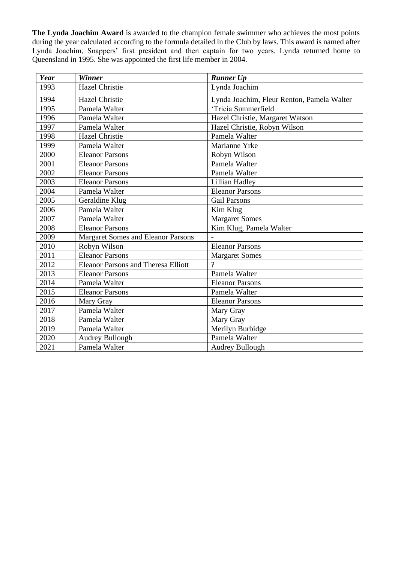**The Lynda Joachim Award** is awarded to the champion female swimmer who achieves the most points during the year calculated according to the formula detailed in the Club by laws. This award is named after Lynda Joachim, Snappers' first president and then captain for two years. Lynda returned home to Queensland in 1995. She was appointed the first life member in 2004.

| Year | Winner                                     | <b>Runner Up</b>                           |
|------|--------------------------------------------|--------------------------------------------|
| 1993 | <b>Hazel Christie</b>                      | Lynda Joachim                              |
| 1994 | <b>Hazel Christie</b>                      | Lynda Joachim, Fleur Renton, Pamela Walter |
| 1995 | Pamela Walter                              | 'Tricia Summerfield                        |
| 1996 | Pamela Walter                              | Hazel Christie, Margaret Watson            |
| 1997 | Pamela Walter                              | Hazel Christie, Robyn Wilson               |
| 1998 | <b>Hazel Christie</b>                      | Pamela Walter                              |
| 1999 | Pamela Walter                              | Marianne Yrke                              |
| 2000 | <b>Eleanor Parsons</b>                     | Robyn Wilson                               |
| 2001 | <b>Eleanor Parsons</b>                     | Pamela Walter                              |
| 2002 | <b>Eleanor Parsons</b>                     | Pamela Walter                              |
| 2003 | <b>Eleanor Parsons</b>                     | <b>Lillian Hadley</b>                      |
| 2004 | Pamela Walter                              | <b>Eleanor Parsons</b>                     |
| 2005 | Geraldine Klug                             | <b>Gail Parsons</b>                        |
| 2006 | Pamela Walter                              | Kim Klug                                   |
| 2007 | Pamela Walter                              | <b>Margaret Somes</b>                      |
| 2008 | <b>Eleanor Parsons</b>                     | Kim Klug, Pamela Walter                    |
| 2009 | Margaret Somes and Eleanor Parsons         |                                            |
| 2010 | Robyn Wilson                               | <b>Eleanor Parsons</b>                     |
| 2011 | <b>Eleanor Parsons</b>                     | <b>Margaret Somes</b>                      |
| 2012 | <b>Eleanor Parsons and Theresa Elliott</b> | $\gamma$                                   |
| 2013 | <b>Eleanor Parsons</b>                     | Pamela Walter                              |
| 2014 | Pamela Walter                              | <b>Eleanor Parsons</b>                     |
| 2015 | <b>Eleanor Parsons</b>                     | Pamela Walter                              |
| 2016 | Mary Gray                                  | <b>Eleanor Parsons</b>                     |
| 2017 | Pamela Walter                              | Mary Gray                                  |
| 2018 | Pamela Walter                              | Mary Gray                                  |
| 2019 | Pamela Walter                              | Merilyn Burbidge                           |
| 2020 | Audrey Bullough                            | Pamela Walter                              |
| 2021 | Pamela Walter                              | <b>Audrey Bullough</b>                     |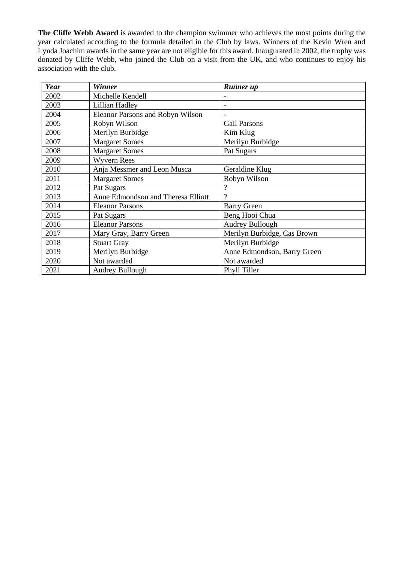**The Cliffe Webb Award** is awarded to the champion swimmer who achieves the most points during the year calculated according to the formula detailed in the Club by laws. Winners of the Kevin Wren and Lynda Joachim awards in the same year are not eligible for this award. Inaugurated in 2002, the trophy was donated by Cliffe Webb, who joined the Club on a visit from the UK, and who continues to enjoy his association with the club.

| Year | <b>Winner</b>                           | <b>Runner</b> up            |
|------|-----------------------------------------|-----------------------------|
| 2002 | Michelle Kendell                        |                             |
| 2003 | Lillian Hadley                          |                             |
| 2004 | <b>Eleanor Parsons and Robyn Wilson</b> |                             |
| 2005 | Robyn Wilson                            | <b>Gail Parsons</b>         |
| 2006 | Merilyn Burbidge                        | Kim Klug                    |
| 2007 | <b>Margaret Somes</b>                   | Merilyn Burbidge            |
| 2008 | <b>Margaret Somes</b>                   | Pat Sugars                  |
| 2009 | <b>Wyvern Rees</b>                      |                             |
| 2010 | Anja Messmer and Leon Musca             | Geraldine Klug              |
| 2011 | <b>Margaret Somes</b>                   | Robyn Wilson                |
| 2012 | Pat Sugars                              | $\gamma$                    |
| 2013 | Anne Edmondson and Theresa Elliott      | $\gamma$                    |
| 2014 | <b>Eleanor Parsons</b>                  | <b>Barry Green</b>          |
| 2015 | Pat Sugars                              | Beng Hooi Chua              |
| 2016 | <b>Eleanor Parsons</b>                  | <b>Audrey Bullough</b>      |
| 2017 | Mary Gray, Barry Green                  | Merilyn Burbidge, Cas Brown |
| 2018 | <b>Stuart Gray</b>                      | Merilyn Burbidge            |
| 2019 | Merilyn Burbidge                        | Anne Edmondson, Barry Green |
| 2020 | Not awarded                             | Not awarded                 |
| 2021 | Audrey Bullough                         | Phyll Tiller                |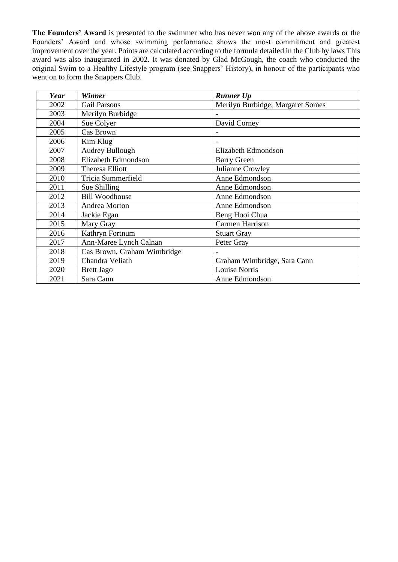**The Founders' Award** is presented to the swimmer who has never won any of the above awards or the Founders' Award and whose swimming performance shows the most commitment and greatest improvement over the year. Points are calculated according to the formula detailed in the Club by laws This award was also inaugurated in 2002. It was donated by Glad McGough, the coach who conducted the original Swim to a Healthy Lifestyle program (see Snappers' History), in honour of the participants who went on to form the Snappers Club.

| Year | <b>Winner</b>               | <b>Runner Up</b>                 |
|------|-----------------------------|----------------------------------|
| 2002 | <b>Gail Parsons</b>         | Merilyn Burbidge; Margaret Somes |
| 2003 | Merilyn Burbidge            |                                  |
| 2004 | Sue Colyer                  | David Corney                     |
| 2005 | Cas Brown                   |                                  |
| 2006 | Kim Klug                    |                                  |
| 2007 | <b>Audrey Bullough</b>      | Elizabeth Edmondson              |
| 2008 | Elizabeth Edmondson         | <b>Barry Green</b>               |
| 2009 | Theresa Elliott             | Julianne Crowley                 |
| 2010 | Tricia Summerfield          | Anne Edmondson                   |
| 2011 | Sue Shilling                | Anne Edmondson                   |
| 2012 | <b>Bill Woodhouse</b>       | Anne Edmondson                   |
| 2013 | Andrea Morton               | Anne Edmondson                   |
| 2014 | Jackie Egan                 | Beng Hooi Chua                   |
| 2015 | Mary Gray                   | <b>Carmen Harrison</b>           |
| 2016 | Kathryn Fortnum             | <b>Stuart Gray</b>               |
| 2017 | Ann-Maree Lynch Calnan      | Peter Gray                       |
| 2018 | Cas Brown, Graham Wimbridge |                                  |
| 2019 | Chandra Veliath             | Graham Wimbridge, Sara Cann      |
| 2020 | <b>Brett Jago</b>           | Louise Norris                    |
| 2021 | Sara Cann                   | Anne Edmondson                   |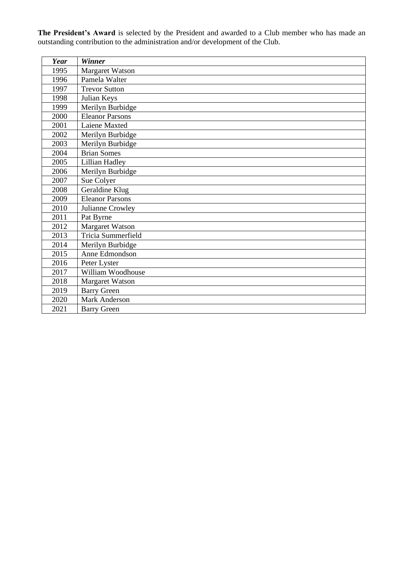**The President's Award** is selected by the President and awarded to a Club member who has made an outstanding contribution to the administration and/or development of the Club.

| <b>Year</b> | <b>Winner</b>          |
|-------------|------------------------|
| 1995        | Margaret Watson        |
| 1996        | Pamela Walter          |
| 1997        | <b>Trevor Sutton</b>   |
| 1998        | Julian Keys            |
| 1999        | Merilyn Burbidge       |
| 2000        | <b>Eleanor Parsons</b> |
| 2001        | Laiene Maxted          |
| 2002        | Merilyn Burbidge       |
| 2003        | Merilyn Burbidge       |
| 2004        | <b>Brian Somes</b>     |
| 2005        | Lillian Hadley         |
| 2006        | Merilyn Burbidge       |
| 2007        | Sue Colyer             |
| 2008        | Geraldine Klug         |
| 2009        | <b>Eleanor Parsons</b> |
| 2010        | Julianne Crowley       |
| 2011        | Pat Byrne              |
| 2012        | Margaret Watson        |
| 2013        | Tricia Summerfield     |
| 2014        | Merilyn Burbidge       |
| 2015        | Anne Edmondson         |
| 2016        | Peter Lyster           |
| 2017        | William Woodhouse      |
| 2018        | Margaret Watson        |
| 2019        | <b>Barry Green</b>     |
| 2020        | <b>Mark Anderson</b>   |
| 2021        | <b>Barry Green</b>     |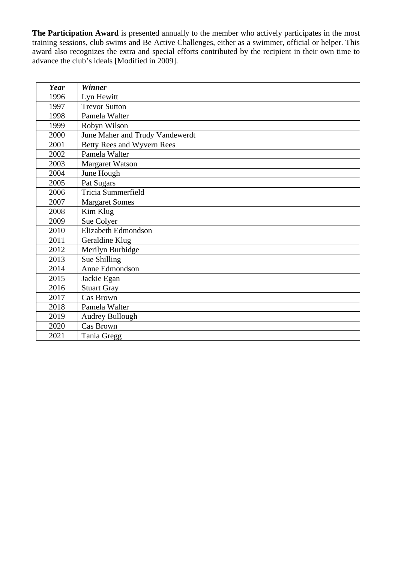**The Participation Award** is presented annually to the member who actively participates in the most training sessions, club swims and Be Active Challenges, either as a swimmer, official or helper. This award also recognizes the extra and special efforts contributed by the recipient in their own time to advance the club's ideals [Modified in 2009].

| Year | <b>Winner</b>                   |
|------|---------------------------------|
| 1996 | Lyn Hewitt                      |
| 1997 | <b>Trevor Sutton</b>            |
| 1998 | Pamela Walter                   |
| 1999 | Robyn Wilson                    |
| 2000 | June Maher and Trudy Vandewerdt |
| 2001 | Betty Rees and Wyvern Rees      |
| 2002 | Pamela Walter                   |
| 2003 | Margaret Watson                 |
| 2004 | June Hough                      |
| 2005 | Pat Sugars                      |
| 2006 | Tricia Summerfield              |
| 2007 | <b>Margaret Somes</b>           |
| 2008 | Kim Klug                        |
| 2009 | Sue Colyer                      |
| 2010 | Elizabeth Edmondson             |
| 2011 | Geraldine Klug                  |
| 2012 | Merilyn Burbidge                |
| 2013 | Sue Shilling                    |
| 2014 | Anne Edmondson                  |
| 2015 | Jackie Egan                     |
| 2016 | <b>Stuart Gray</b>              |
| 2017 | Cas Brown                       |
| 2018 | Pamela Walter                   |
| 2019 | <b>Audrey Bullough</b>          |
| 2020 | <b>Cas Brown</b>                |
| 2021 | Tania Gregg                     |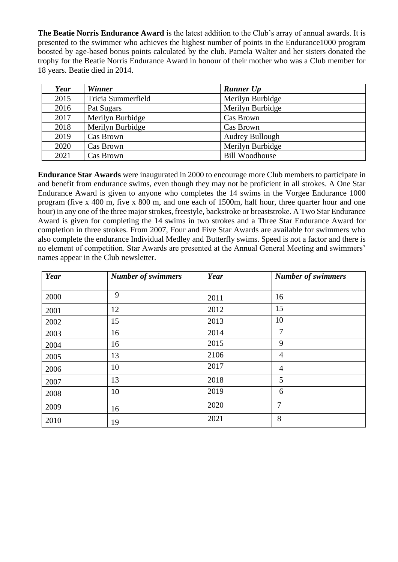**The Beatie Norris Endurance Award** is the latest addition to the Club's array of annual awards. It is presented to the swimmer who achieves the highest number of points in the Endurance1000 program boosted by age-based bonus points calculated by the club. Pamela Walter and her sisters donated the trophy for the Beatie Norris Endurance Award in honour of their mother who was a Club member for 18 years. Beatie died in 2014.

| Year | <b>Winner</b>      | <b>Runner Up</b>      |
|------|--------------------|-----------------------|
| 2015 | Tricia Summerfield | Merilyn Burbidge      |
| 2016 | Pat Sugars         | Merilyn Burbidge      |
| 2017 | Merilyn Burbidge   | Cas Brown             |
| 2018 | Merilyn Burbidge   | Cas Brown             |
| 2019 | Cas Brown          | Audrey Bullough       |
| 2020 | Cas Brown          | Merilyn Burbidge      |
| 2021 | Cas Brown          | <b>Bill Woodhouse</b> |

**Endurance Star Awards** were inaugurated in 2000 to encourage more Club members to participate in and benefit from endurance swims, even though they may not be proficient in all strokes. A One Star Endurance Award is given to anyone who completes the 14 swims in the Vorgee Endurance 1000 program (five x 400 m, five x 800 m, and one each of 1500m, half hour, three quarter hour and one hour) in any one of the three major strokes, freestyle, backstroke or breaststroke. A Two Star Endurance Award is given for completing the 14 swims in two strokes and a Three Star Endurance Award for completion in three strokes. From 2007, Four and Five Star Awards are available for swimmers who also complete the endurance Individual Medley and Butterfly swims. Speed is not a factor and there is no element of competition. Star Awards are presented at the Annual General Meeting and swimmers' names appear in the Club newsletter.

| Year | <b>Number of swimmers</b> | Year | <b>Number of swimmers</b> |
|------|---------------------------|------|---------------------------|
| 2000 | 9                         | 2011 | 16                        |
| 2001 | 12                        | 2012 | 15                        |
| 2002 | 15                        | 2013 | 10                        |
| 2003 | 16                        | 2014 | 7                         |
| 2004 | 16                        | 2015 | 9                         |
| 2005 | 13                        | 2106 | 4                         |
| 2006 | 10                        | 2017 | $\overline{4}$            |
| 2007 | 13                        | 2018 | 5                         |
| 2008 | 10                        | 2019 | 6                         |
| 2009 | 16                        | 2020 | $\overline{7}$            |
| 2010 | 19                        | 2021 | 8                         |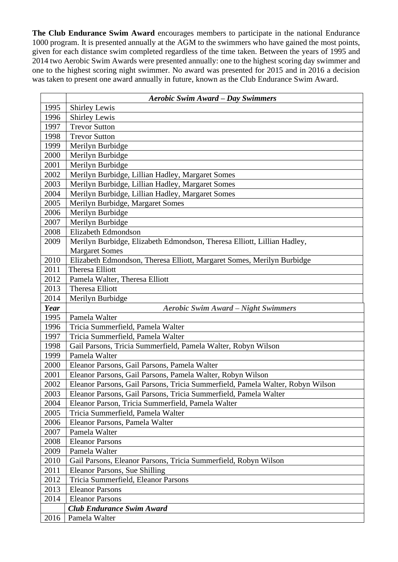**The Club Endurance Swim Award** encourages members to participate in the national Endurance 1000 program. It is presented annually at the AGM to the swimmers who have gained the most points, given for each distance swim completed regardless of the time taken. Between the years of 1995 and 2014 two Aerobic Swim Awards were presented annually: one to the highest scoring day swimmer and one to the highest scoring night swimmer. No award was presented for 2015 and in 2016 a decision was taken to present one award annually in future, known as the Club Endurance Swim Award.

|      | <b>Aerobic Swim Award – Day Swimmers</b>                                       |  |  |
|------|--------------------------------------------------------------------------------|--|--|
| 1995 | <b>Shirley Lewis</b>                                                           |  |  |
| 1996 | <b>Shirley Lewis</b>                                                           |  |  |
| 1997 | <b>Trevor Sutton</b>                                                           |  |  |
| 1998 | <b>Trevor Sutton</b>                                                           |  |  |
| 1999 | Merilyn Burbidge                                                               |  |  |
| 2000 | Merilyn Burbidge                                                               |  |  |
| 2001 | Merilyn Burbidge                                                               |  |  |
| 2002 | Merilyn Burbidge, Lillian Hadley, Margaret Somes                               |  |  |
| 2003 | Merilyn Burbidge, Lillian Hadley, Margaret Somes                               |  |  |
| 2004 | Merilyn Burbidge, Lillian Hadley, Margaret Somes                               |  |  |
| 2005 | Merilyn Burbidge, Margaret Somes                                               |  |  |
| 2006 | Merilyn Burbidge                                                               |  |  |
| 2007 | Merilyn Burbidge                                                               |  |  |
| 2008 | Elizabeth Edmondson                                                            |  |  |
| 2009 | Merilyn Burbidge, Elizabeth Edmondson, Theresa Elliott, Lillian Hadley,        |  |  |
|      | <b>Margaret Somes</b>                                                          |  |  |
| 2010 | Elizabeth Edmondson, Theresa Elliott, Margaret Somes, Merilyn Burbidge         |  |  |
| 2011 | <b>Theresa Elliott</b>                                                         |  |  |
| 2012 | Pamela Walter, Theresa Elliott                                                 |  |  |
| 2013 | <b>Theresa Elliott</b>                                                         |  |  |
| 2014 | Merilyn Burbidge                                                               |  |  |
| Year | <b>Aerobic Swim Award - Night Swimmers</b>                                     |  |  |
| 1995 | Pamela Walter                                                                  |  |  |
| 1996 | Tricia Summerfield, Pamela Walter                                              |  |  |
| 1997 | Tricia Summerfield, Pamela Walter                                              |  |  |
| 1998 | Gail Parsons, Tricia Summerfield, Pamela Walter, Robyn Wilson                  |  |  |
| 1999 | Pamela Walter                                                                  |  |  |
| 2000 | Eleanor Parsons, Gail Parsons, Pamela Walter                                   |  |  |
| 2001 | Eleanor Parsons, Gail Parsons, Pamela Walter, Robyn Wilson                     |  |  |
| 2002 | Eleanor Parsons, Gail Parsons, Tricia Summerfield, Pamela Walter, Robyn Wilson |  |  |
| 2003 | Eleanor Parsons, Gail Parsons, Tricia Summerfield, Pamela Walter               |  |  |
| 2004 | Eleanor Parson, Tricia Summerfield, Pamela Walter                              |  |  |
| 2005 | Tricia Summerfield, Pamela Walter                                              |  |  |
| 2006 | Eleanor Parsons, Pamela Walter                                                 |  |  |
| 2007 | Pamela Walter                                                                  |  |  |
| 2008 | <b>Eleanor Parsons</b>                                                         |  |  |
| 2009 | Pamela Walter                                                                  |  |  |
| 2010 | Gail Parsons, Eleanor Parsons, Tricia Summerfield, Robyn Wilson                |  |  |
| 2011 | Eleanor Parsons, Sue Shilling                                                  |  |  |
| 2012 | Tricia Summerfield, Eleanor Parsons                                            |  |  |
| 2013 | <b>Eleanor Parsons</b>                                                         |  |  |
| 2014 | <b>Eleanor Parsons</b><br><b>Club Endurance Swim Award</b>                     |  |  |
| 2016 | Pamela Walter                                                                  |  |  |
|      |                                                                                |  |  |